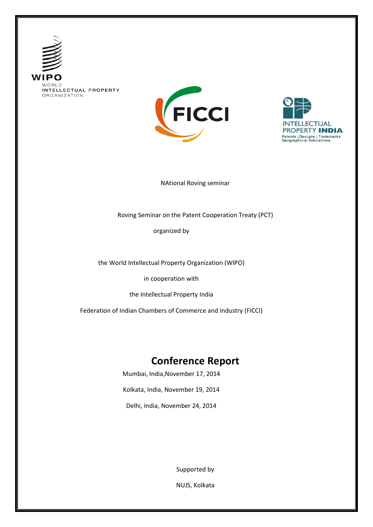WORLD INTELLECTUAL PROPERTY ORGANIZATION





NAtional Roving seminar

Roving Seminar on the Patent Cooperation Treaty (PCT)

organized by

the World Intellectual Property Organization (WIPO)

in cooperation with

the Intellectual Property India

Federation of Indian Chambers of Commerce and Industry (FICCI)

# **Conference Report**

Mumbai, India,November 17, 2014 Kolkata, India, November 19, 2014

Delhi, India, November 24, 2014

Supported by

NUJS, Kolkata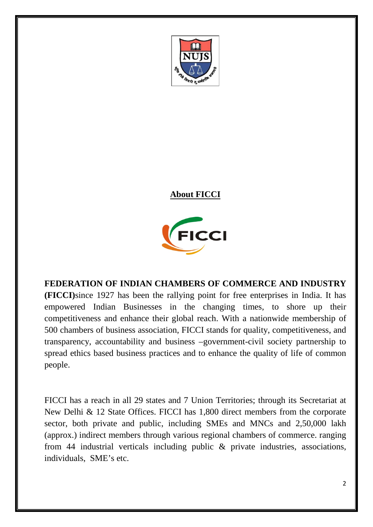

**About FICCI**



**FEDERATION OF INDIAN CHAMBERS OF COMMERCE AND INDUSTRY (FICCI)**since 1927 has been the rallying point for free enterprises in India. It has empowered Indian Businesses in the changing times, to shore up their competitiveness and enhance their global reach. With a nationwide membership of 500 chambers of business association, FICCI stands for quality, competitiveness, and transparency, accountability and business –government-civil society partnership to spread ethics based business practices and to enhance the quality of life of common people.

FICCI has a reach in all 29 states and 7 Union Territories; through its Secretariat at New Delhi & 12 State Offices. FICCI has 1,800 direct members from the corporate sector, both private and public, including SMEs and MNCs and 2,50,000 lakh (approx.) indirect members through various regional chambers of commerce. ranging from 44 industrial verticals including public & private industries, associations, individuals, SME's etc.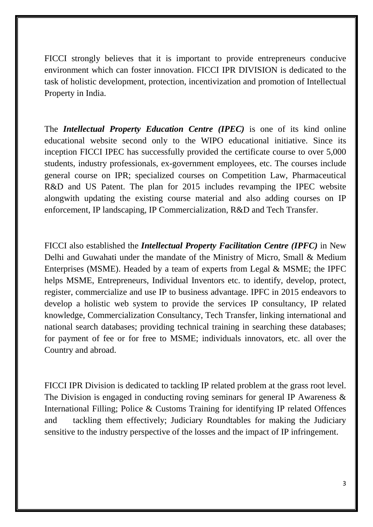FICCI strongly believes that it is important to provide entrepreneurs conducive environment which can foster innovation. FICCI IPR DIVISION is dedicated to the task of holistic development, protection, incentivization and promotion of Intellectual Property in India.

The *Intellectual Property Education Centre (IPEC)* is one of its kind online educational website second only to the WIPO educational initiative. Since its inception FICCI IPEC has successfully provided the certificate course to over 5,000 students, industry professionals, ex-government employees, etc. The courses include general course on IPR; specialized courses on Competition Law, Pharmaceutical R&D and US Patent. The plan for 2015 includes revamping the IPEC website alongwith updating the existing course material and also adding courses on IP enforcement, IP landscaping, IP Commercialization, R&D and Tech Transfer.

FICCI also established the *Intellectual Property Facilitation Centre (IPFC)* in New Delhi and Guwahati under the mandate of the Ministry of Micro, Small & Medium Enterprises (MSME). Headed by a team of experts from Legal & MSME; the IPFC helps MSME, Entrepreneurs, Individual Inventors etc. to identify, develop, protect, register, commercialize and use IP to business advantage. IPFC in 2015 endeavors to develop a holistic web system to provide the services IP consultancy, IP related knowledge, Commercialization Consultancy, Tech Transfer, linking international and national search databases; providing technical training in searching these databases; for payment of fee or for free to MSME; individuals innovators, etc. all over the Country and abroad.

FICCI IPR Division is dedicated to tackling IP related problem at the grass root level. The Division is engaged in conducting roving seminars for general IP Awareness  $\&$ International Filling; Police & Customs Training for identifying IP related Offences and tackling them effectively; Judiciary Roundtables for making the Judiciary sensitive to the industry perspective of the losses and the impact of IP infringement.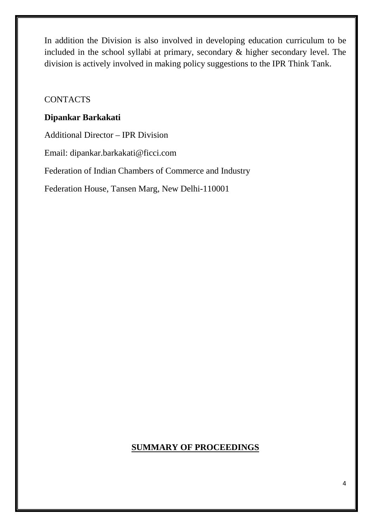In addition the Division is also involved in developing education curriculum to be included in the school syllabi at primary, secondary & higher secondary level. The division is actively involved in making policy suggestions to the IPR Think Tank.

#### **CONTACTS**

#### **Dipankar Barkakati**

Additional Director – IPR Division Email: [dipankar.barkakati@ficci.com](mailto:dipankar.barkakati@ficci.com) Federation of Indian Chambers of Commerce and Industry Federation House, Tansen Marg, New Delhi-110001

# **SUMMARY OF PROCEEDINGS**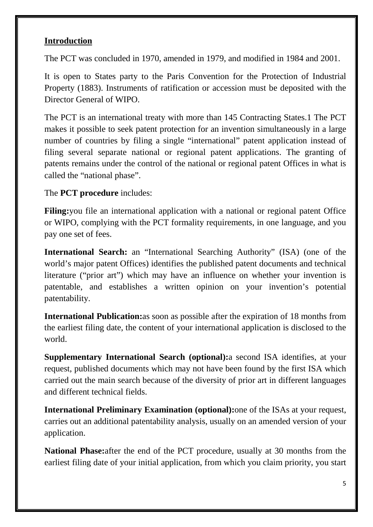### **Introduction**

The [PCT](http://www.wipo.int/pct/en/texts/index.htm#pct) was concluded in 1970, amended in 1979, and modified in 1984 and 2001.

It is open to States party to the [Paris Convention for the Protection of Industrial](http://www.wipo.int/treaties/en/ip/paris/trtdocs_wo020.html)  [Property](http://www.wipo.int/treaties/en/ip/paris/trtdocs_wo020.html) (1883). Instruments of ratification or accession must be deposited with the Director General of WIPO.

The PCT is an international treaty with more than 145 Contracting States[.1](http://www.wipo.int/pct/en/faqs/faqs.html#note1) The PCT makes it possible to seek patent protection for an invention simultaneously in a large number of countries by filing a single "international" patent application instead of filing several separate national or regional patent applications. The granting of patents remains under the control of the national or regional patent Offices in what is called the "national phase".

The **PCT procedure** includes:

**Filing:**you file an international application with a national or regional patent Office or WIPO, complying with the PCT formality requirements, in one language, and you pay one set of fees.

**International Search:** an "International Searching Authority" (ISA) (one of the world's major patent Offices) identifies the published patent documents and technical literature ("prior art") which may have an influence on whether your invention is patentable, and establishes a written opinion on your invention's potential patentability.

**International Publication:**as soon as possible after the expiration of 18 months from the earliest filing date, the content of your international application is disclosed to the world.

**Supplementary International Search (optional):**a second ISA identifies, at your request, published documents which may not have been found by the first ISA which carried out the main search because of the diversity of prior art in different languages and different technical fields.

**International Preliminary Examination (optional):**one of the ISAs at your request, carries out an additional patentability analysis, usually on an amended version of your application.

**National Phase:**after the end of the PCT procedure, usually at 30 months from the earliest filing date of your initial application, from which you claim priority, you start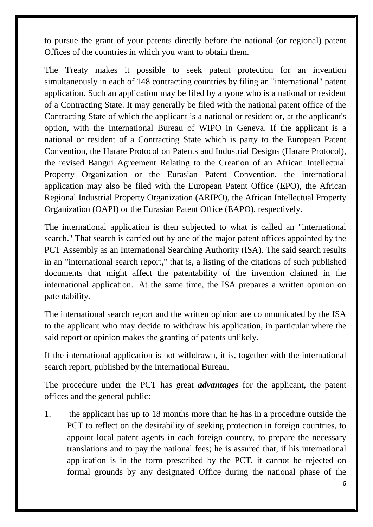to pursue the grant of your patents directly before the national (or regional) patent Offices of the countries in which you want to obtain them.

The [Treaty](http://www.wipo.int/pct/en/texts/articles/atoc.htm) makes it possible to seek patent protection for an invention simultaneously in each of 148 contracting countries by filing an "international" patent application. Such [an application](http://www.wipo.int/pct/en/forms/request/ed_request.pdf) may be filed by anyone who is a national or resident of a Contracting State. It may generally be filed with the national patent office of the Contracting State of which the applicant is a national or resident or, at the applicant's option, with the [International Bureau of WIPO in Geneva.](http://www.wipo.int/pct/guide/en/gdvol1/annexes/annexc/ax_c_ib.pdf) If the applicant is a national or resident of a Contracting State which is party to the [European Patent](http://www.wipo.int/clea/en/details.jsp?id=1303)  [Convention,](http://www.wipo.int/clea/en/details.jsp?id=1303) the [Harare Protocol on Patents and Industrial Designs \(Harare Protocol\),](http://www.wipo.int/clea/en/details.jsp?id=70) the revised [Bangui Agreement Relating to the Creation of an African Intellectual](http://www.wipo.int/clea/en/details.jsp?id=3377)  [Property Organization](http://www.wipo.int/clea/en/details.jsp?id=3377) or the [Eurasian Patent Convention,](http://www.wipo.int/clea/en/details.jsp?id=1203) the international application may also be filed with the [European Patent Office \(EPO\),](http://www.wipo.int/clea/en/details.jsp?id=1303) the [African](http://www.aripo.org/)  [Regional Industrial Property Organization \(ARIPO\),](http://www.aripo.org/) the [African Intellectual Property](http://www.oapi.wipo.net/en/OAPI/index.htm)  [Organization \(OAPI\)](http://www.oapi.wipo.net/en/OAPI/index.htm) or the [Eurasian Patent Office \(EAPO\),](http://www.eapo.org/eng/ea/) respectively.

The international application is then subjected to what is called an "international search." That search is carried out by one of the major patent offices appointed by the PCT Assembly as an [International Searching Authority \(ISA\).](http://www.wipo.int/pct/en/access/isa_ipea_agreements.html) The said search results in an "international search report," that is, a listing of the citations of such published documents that might affect the patentability of the invention claimed in the international application. At the same time, the ISA prepares a written opinion on patentability.

The international search report and the written opinion are communicated by the ISA to the applicant who may decide to withdraw his application, in particular where the said report or opinion makes the granting of patents unlikely.

If the international application is not withdrawn, it is, together with the international search report, [published by the International Bureau.](http://www.wipo.int/pctdb/en/index.jsp)

The procedure under the PCT has great *advantages* for the applicant, the patent offices and the general public:

1. the applicant has up to 18 months more than he has in a procedure outside the PCT to reflect on the desirability of seeking protection in foreign countries, to appoint local patent agents in each foreign country, to prepare the necessary translations and to pay the national fees; he is assured that, if his international application is in the form prescribed by the PCT, it cannot be rejected on formal grounds by any designated Office during the national phase of the

6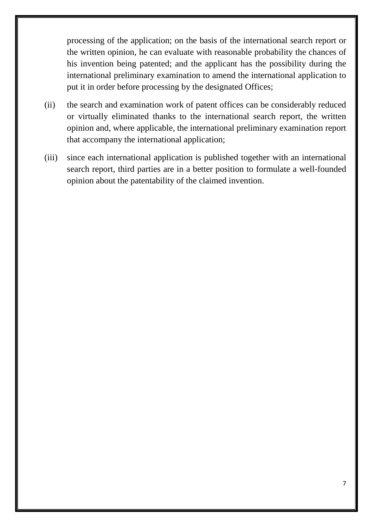processing of the application; on the basis of the international search report or the written opinion, he can evaluate with reasonable probability the chances of his invention being patented; and the applicant has the possibility during the international preliminary examination to amend the international application to put it in order before processing by the designated Offices;

- (ii) the search and examination work of patent offices can be considerably reduced or virtually eliminated thanks to the international search report, the written opinion and, where applicable, the international preliminary examination report that accompany the international application;
- (iii) since each international application is published together with an international search report, third parties are in a better position to formulate a well-founded opinion about the patentability of the claimed invention.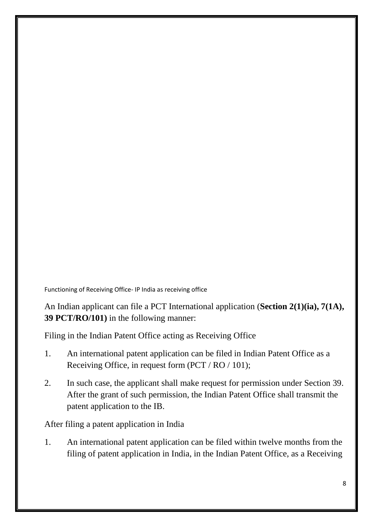Functioning of Receiving Office- IP India as receiving office

An Indian applicant can file a PCT International application (**Section 2(1)(ia), 7(1A), 39 PCT/RO/101)** in the following manner:

Filing in the Indian Patent Office acting as Receiving Office

- 1. An international patent application can be filed in Indian Patent Office as a Receiving Office, in request form (PCT / RO / 101);
- 2. In such case, the applicant shall make request for permission under Section 39. After the grant of such permission, the Indian Patent Office shall transmit the patent application to the IB.

After filing a patent application in India

1. An international patent application can be filed within twelve months from the filing of patent application in India, in the Indian Patent Office, as a Receiving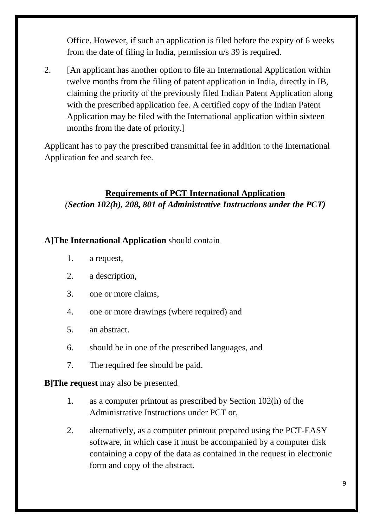Office. However, if such an application is filed before the expiry of 6 weeks from the date of filing in India, permission u/s 39 is required.

2. [An applicant has another option to file an International Application within twelve months from the filing of patent application in India, directly in IB, claiming the priority of the previously filed Indian Patent Application along with the prescribed application fee. A certified copy of the Indian Patent Application may be filed with the International application within sixteen months from the date of priority.]

Applicant has to pay the prescribed transmittal fee in addition to the International Application fee and search fee.

# **Requirements of PCT International Application**  *(Section 102(h), 208, 801 of Administrative Instructions under the PCT)*

### **A]The International Application** should contain

- 1. a request,
- 2. a description,
- 3. one or more claims,
- 4. one or more drawings (where required) and
- 5. an abstract.
- 6. should be in one of the prescribed languages, and
- 7. The required fee should be paid.

#### **B]The request** may also be presented

- 1. as a computer printout as prescribed by Section 102(h) of the Administrative Instructions under PCT or,
- 2. alternatively, as a computer printout prepared using the PCT-EASY software, in which case it must be accompanied by a computer disk containing a copy of the data as contained in the request in electronic form and copy of the abstract.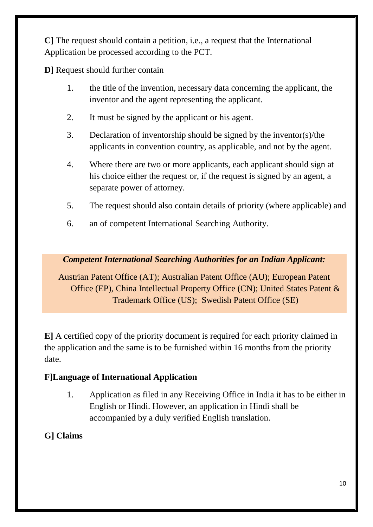**C]** The request should contain a petition, i.e., a request that the International Application be processed according to the PCT.

**D]** Request should further contain

- 1. the title of the invention, necessary data concerning the applicant, the inventor and the agent representing the applicant.
- 2. It must be signed by the applicant or his agent.
- 3. Declaration of inventorship should be signed by the inventor(s)/the applicants in convention country, as applicable, and not by the agent.
- 4. Where there are two or more applicants, each applicant should sign at his choice either the request or, if the request is signed by an agent, a separate power of attorney.
- 5. The request should also contain details of priority (where applicable) and
- 6. an of competent International Searching Authority.

### *Competent International Searching Authorities for an Indian Applicant:*

Austrian Patent Office (AT); Australian Patent Office (AU); European Patent Office (EP), China Intellectual Property Office (CN); United States Patent & Trademark Office (US); Swedish Patent Office (SE)

**E]** A certified copy of the priority document is required for each priority claimed in the application and the same is to be furnished within 16 months from the priority date.

### **F]Language of International Application**

1. Application as filed in any Receiving Office in India it has to be either in English or Hindi. However, an application in Hindi shall be accompanied by a duly verified English translation.

### **G] Claims**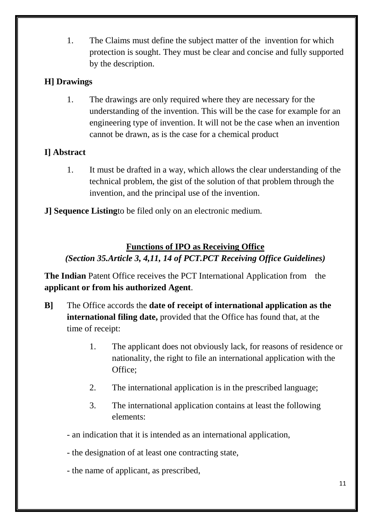1. The Claims must define the subject matter of the invention for which protection is sought. They must be clear and concise and fully supported by the description.

### **H] Drawings**

1. The drawings are only required where they are necessary for the understanding of the invention. This will be the case for example for an engineering type of invention. It will not be the case when an invention cannot be drawn, as is the case for a chemical product

# **I] Abstract**

- 1. It must be drafted in a way, which allows the clear understanding of the technical problem, the gist of the solution of that problem through the invention, and the principal use of the invention.
- **J] Sequence Listing**to be filed only on an electronic medium.

### **Functions of IPO as Receiving Office**

# *(Section 35.Article 3, 4,11, 14 of PCT.PCT Receiving Office Guidelines)*

**The Indian** Patent Office receives the PCT International Application from the **applicant or from his authorized Agent**.

- **B]** The Office accords the **date of receipt of international application as the international filing date,** provided that the Office has found that, at the time of receipt:
	- 1. The applicant does not obviously lack, for reasons of residence or nationality, the right to file an international application with the Office;
	- 2. The international application is in the prescribed language;
	- 3. The international application contains at least the following elements:
	- an indication that it is intended as an international application,
	- the designation of at least one contracting state,
	- the name of applicant, as prescribed,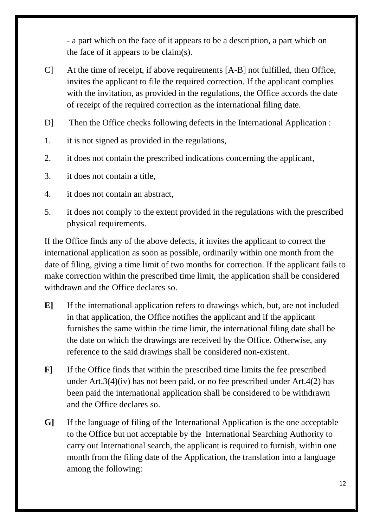- a part which on the face of it appears to be a description, a part which on the face of it appears to be claim(s).

- C] At the time of receipt, if above requirements [A-B] not fulfilled, then Office, invites the applicant to file the required correction. If the applicant complies with the invitation, as provided in the regulations, the Office accords the date of receipt of the required correction as the international filing date.
- D] Then the Office checks following defects in the International Application :
- 1. it is not signed as provided in the regulations,
- 2. it does not contain the prescribed indications concerning the applicant,
- 3. it does not contain a title,
- 4. it does not contain an abstract,
- 5. it does not comply to the extent provided in the regulations with the prescribed physical requirements.

If the Office finds any of the above defects, it invites the applicant to correct the international application as soon as possible, ordinarily within one month from the date of filing, giving a time limit of two months for correction. If the applicant fails to make correction within the prescribed time limit, the application shall be considered withdrawn and the Office declares so.

- **E]** If the international application refers to drawings which, but, are not included in that application, the Office notifies the applicant and if the applicant furnishes the same within the time limit, the international filing date shall be the date on which the drawings are received by the Office. Otherwise, any reference to the said drawings shall be considered non-existent.
- **F]** If the Office finds that within the prescribed time limits the fee prescribed under Art.3(4)(iv) has not been paid, or no fee prescribed under Art.4(2) has been paid the international application shall be considered to be withdrawn and the Office declares so.
- **G]** If the language of filing of the International Application is the one acceptable to the Office but not acceptable by the International Searching Authority to carry out International search, the applicant is required to furnish, within one month from the filing date of the Application, the translation into a language among the following: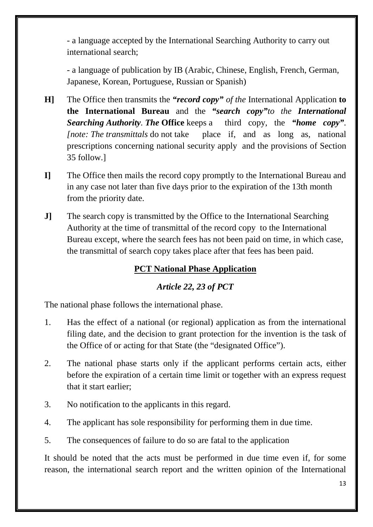- a language accepted by the International Searching Authority to carry out international search;

- a language of publication by IB (Arabic, Chinese, English, French, German, Japanese, Korean, Portuguese, Russian or Spanish)

- **H]** The Office then transmits the *"record copy" of the* International Application **to the International Bureau** and the *"search copy"to the International Searching Authority. The* **Office** keeps a third copy, the *"home copy". [note: The transmittals* do not take place if, and as long as, national prescriptions concerning national security apply and the provisions of Section 35 follow.]
- **I]** The Office then mails the record copy promptly to the International Bureau and in any case not later than five days prior to the expiration of the 13th month from the priority date.
- **J]** The search copy is transmitted by the Office to the International Searching Authority at the time of transmittal of the record copy to the International Bureau except, where the search fees has not been paid on time, in which case, the transmittal of search copy takes place after that fees has been paid.

# **PCT National Phase Application**

# *Article 22, 23 of PCT*

The national phase follows the international phase.

- 1. Has the effect of a national (or regional) application as from the international filing date, and the decision to grant protection for the invention is the task of the Office of or acting for that State (the "designated Office").
- 2. The national phase starts only if the applicant performs certain acts, either before the expiration of a certain time limit or together with an express request that it start earlier;
- 3. No notification to the applicants in this regard.
- 4. The applicant has sole responsibility for performing them in due time.
- 5. The consequences of failure to do so are fatal to the application

It should be noted that the acts must be performed in due time even if, for some reason, the international search report and the written opinion of the International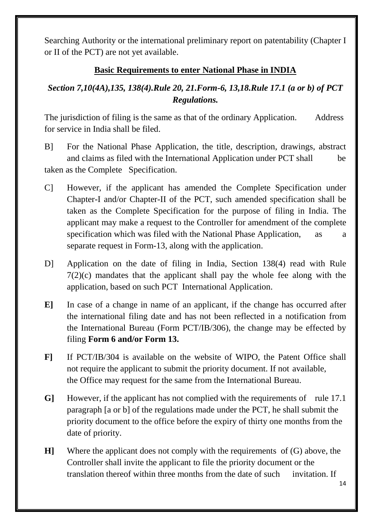Searching Authority or the international preliminary report on patentability (Chapter I or II of the PCT) are not yet available.

#### **Basic Requirements to enter National Phase in INDIA**

*Section 7,10(4A),135, 138(4).Rule 20, 21.Form-6, 13,18.Rule 17.1 (a or b) of PCT Regulations.*

The jurisdiction of filing is the same as that of the ordinary Application. Address for service in India shall be filed.

- B] For the National Phase Application, the title, description, drawings, abstract and claims as filed with the International Application under PCT shall be taken as the Complete Specification.
- C] However, if the applicant has amended the Complete Specification under Chapter-I and/or Chapter-II of the PCT, such amended specification shall be taken as the Complete Specification for the purpose of filing in India. The applicant may make a request to the Controller for amendment of the complete specification which was filed with the National Phase Application, as a separate request in Form-13, along with the application.
- D] Application on the date of filing in India, Section 138(4) read with Rule  $7(2)(c)$  mandates that the applicant shall pay the whole fee along with the application, based on such PCT International Application.
- **E]** In case of a change in name of an applicant, if the change has occurred after the international filing date and has not been reflected in a notification from the International Bureau (Form PCT/IB/306), the change may be effected by filing **Form 6 and/or Form 13.**
- **F]** If PCT/IB/304 is available on the website of WIPO, the Patent Office shall not require the applicant to submit the priority document. If not available, the Office may request for the same from the International Bureau.
- **G]** However, if the applicant has not complied with the requirements of rule 17.1 paragraph [a or b] of the regulations made under the PCT, he shall submit the priority document to the office before the expiry of thirty one months from the date of priority.
- **H]** Where the applicant does not comply with the requirements of (G) above, the Controller shall invite the applicant to file the priority document or the translation thereof within three months from the date of such invitation. If

14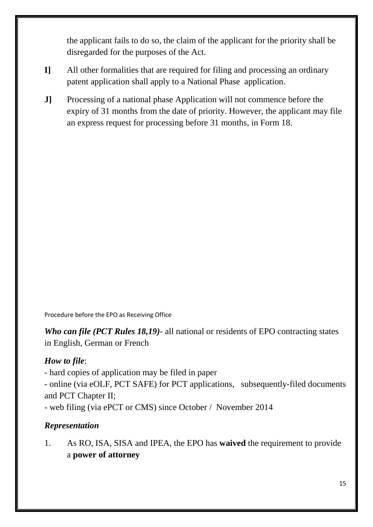the applicant fails to do so, the claim of the applicant for the priority shall be disregarded for the purposes of the Act.

- **I]** All other formalities that are required for filing and processing an ordinary patent application shall apply to a National Phase application.
- **J]** Processing of a national phase Application will not commence before the expiry of 31 months from the date of priority. However, the applicant may file an express request for processing before 31 months, in Form 18.

Procedure before the EPO as Receiving Office

*Who can file (PCT Rules 18,19)*- all national or residents of EPO contracting states in English, German or French

### *How to file*:

- hard copies of application may be filed in paper

- online (via eOLF, PCT SAFE) for PCT applications, subsequently-filed documents and PCT Chapter II;

- web filing (via ePCT or CMS) since October / November 2014

# *Representation*

1. As RO, ISA, SISA and IPEA, the EPO has **waived** the requirement to provide a **power of attorney**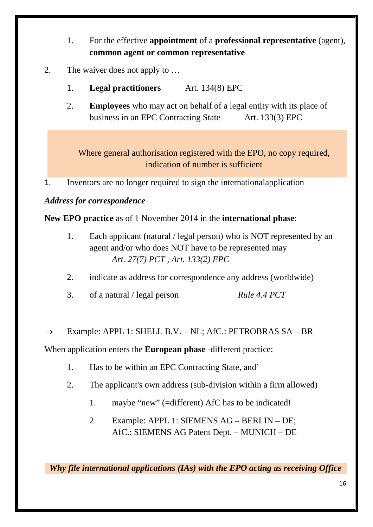- 1. For the effective **appointment** of a **professional representative** (agent), **common agent or common representative**
- 2. The waiver does not apply to …
	- 1. **Legal practitioners** Art. 134(8) EPC
	- 2. **Employees** who may act on behalf of a legal entity with its place of business in an EPC Contracting State Art. 133(3) EPC

Where general authorisation registered with the EPO, no copy required, indication of number is sufficient

1. Inventors are no longer required to sign the internationalapplication

### *Address for correspondence*

**New EPO practice** as of 1 November 2014 in the **international phase**:

- 1. Each applicant (natural / legal person) who is NOT represented by an agent and/or who does NOT have to be represented may *Art. 27(7) PCT , Art. 133(2) EPC*
- 2. indicate as address for correspondence any address (worldwide)
- 3. of a natural / legal person *Rule 4.4 PCT*
- $\rightarrow$  Example: APPL 1: SHELL B.V. NL; AfC.: PETROBRAS SA BR

When application enters the **European phase** -different practice:

- 1. Has to be within an EPC Contracting State, and'
- 2. The applicant's own address (sub-division within a firm allowed)
	- 1. maybe "new" (=different) AfC has to be indicated!
	- 2. Example: APPL 1: SIEMENS AG BERLIN DE; AfC.: SIEMENS AG Patent Dept. – MUNICH – DE

*Why file international applications (IAs) with the EPO acting as receiving Office*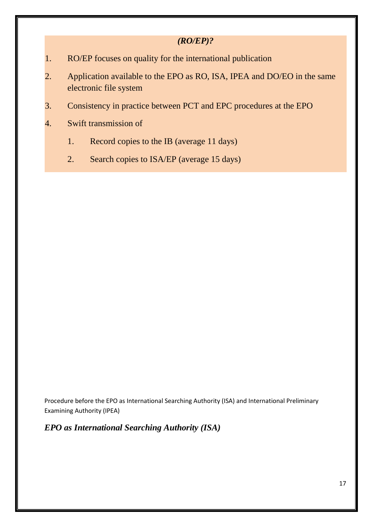### *(RO/EP)?*

- 1. RO/EP focuses on quality for the international publication
- 2. Application available to the EPO as RO, ISA, IPEA and DO/EO in the same electronic file system
- 3. Consistency in practice between PCT and EPC procedures at the EPO
- 4. Swift transmission of
	- 1. Record copies to the IB (average 11 days)
	- 2. Search copies to ISA/EP (average 15 days)

Procedure before the EPO as International Searching Authority (ISA) and International Preliminary Examining Authority (IPEA)

*EPO as International Searching Authority (ISA)*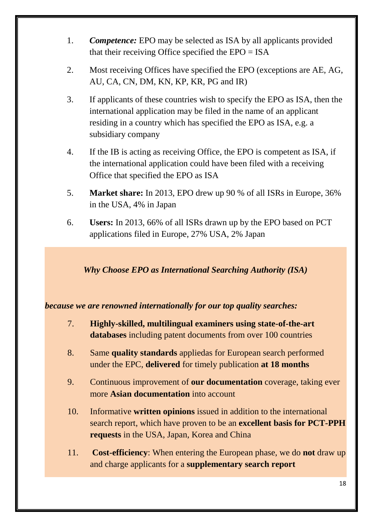- 1. *Competence:* EPO may be selected as ISA by all applicants provided that their receiving Office specified the  $EPO = ISA$
- 2. Most receiving Offices have specified the EPO (exceptions are AE, AG, AU, CA, CN, DM, KN, KP, KR, PG and IR)
- 3. If applicants of these countries wish to specify the EPO as ISA, then the international application may be filed in the name of an applicant residing in a country which has specified the EPO as ISA, e.g. a subsidiary company
- 4. If the IB is acting as receiving Office, the EPO is competent as ISA, if the international application could have been filed with a receiving Office that specified the EPO as ISA
- 5. **Market share:** In 2013, EPO drew up 90 % of all ISRs in Europe, 36% in the USA, 4% in Japan
- 6. **Users:** In 2013, 66% of all ISRs drawn up by the EPO based on PCT applications filed in Europe, 27% USA, 2% Japan

# *Why Choose EPO as International Searching Authority (ISA)*

*because we are renowned internationally for our top quality searches:*

- 7. **Highly-skilled, multilingual examiners using state-of-the-art databases** including patent documents from over 100 countries
- 8. Same **quality standards** appliedas for European search performed under the EPC, **delivered** for timely publication **at 18 months**
- 9. Continuous improvement of **our documentation** coverage, taking ever more **Asian documentation** into account
- 10. Informative **written opinions** issued in addition to the international search report, which have proven to be an **excellent basis for PCT-PPH requests** in the USA, Japan, Korea and China
- 11. **Cost-efficiency**: When entering the European phase, we do **not** draw up and charge applicants for a **supplementary search report**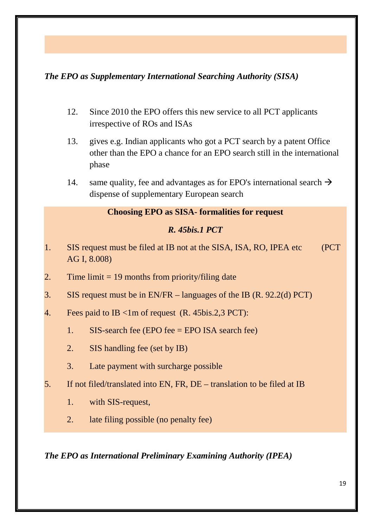### *The EPO as Supplementary International Searching Authority (SISA)*

- 12. Since 2010 the EPO offers this new service to all PCT applicants irrespective of ROs and ISAs
- 13. gives e.g. Indian applicants who got a PCT search by a patent Office other than the EPO a chance for an EPO search still in the international phase
- 14. same quality, fee and advantages as for EPO's international search  $\rightarrow$ dispense of supplementary European search

#### **Choosing EPO as SISA- formalities for request**

#### *R. 45bis.1 PCT*

- 1. SIS request must be filed at IB not at the SISA, ISA, RO, IPEA etc (PCT AG I, 8.008)
- 2. Time  $\lim_{x \to 0}$  Time  $\lim_{x \to 0}$  Time  $\lim_{x \to 0}$  Time  $\lim_{x \to 0}$  Time  $\lim_{x \to 0}$
- 3. SIS request must be in EN/FR languages of the IB (R. 92.2(d) PCT)
- 4. Fees paid to IB <1m of request (R. 45bis.2,3 PCT):
	- 1. SIS-search fee (EPO fee = EPO ISA search fee)
	- 2. SIS handling fee (set by IB)
	- 3. Late payment with surcharge possible
- 5. If not filed/translated into EN, FR, DE translation to be filed at IB
	- 1. with SIS-request,
	- 2. late filing possible (no penalty fee)

*The EPO as International Preliminary Examining Authority (IPEA)*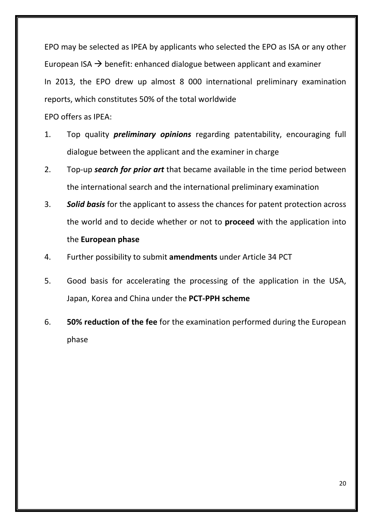EPO may be selected as IPEA by applicants who selected the EPO as ISA or any other European ISA  $\rightarrow$  benefit: enhanced dialogue between applicant and examiner In 2013, the EPO drew up almost 8 000 international preliminary examination reports, which constitutes 50% of the total worldwide

EPO offers as IPEA:

- 1. Top quality *preliminary opinions* regarding patentability, encouraging full dialogue between the applicant and the examiner in charge
- 2. Top-up *search for prior art* that became available in the time period between the international search and the international preliminary examination
- 3. *Solid basis* for the applicant to assess the chances for patent protection across the world and to decide whether or not to **proceed** with the application into the **European phase**
- 4. Further possibility to submit **amendments** under Article 34 PCT
- 5. Good basis for accelerating the processing of the application in the USA, Japan, Korea and China under the **PCT-PPH scheme**
- 6. **50% reduction of the fee** for the examination performed during the European phase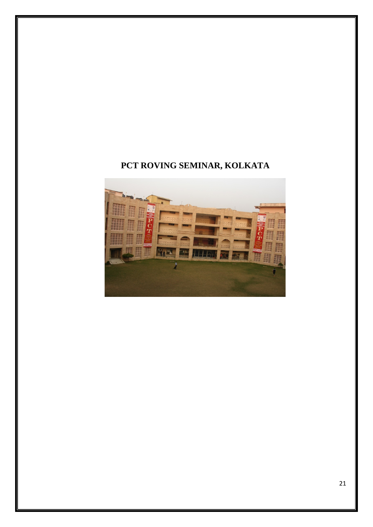# **PCT ROVING SEMINAR, KOLKATA**



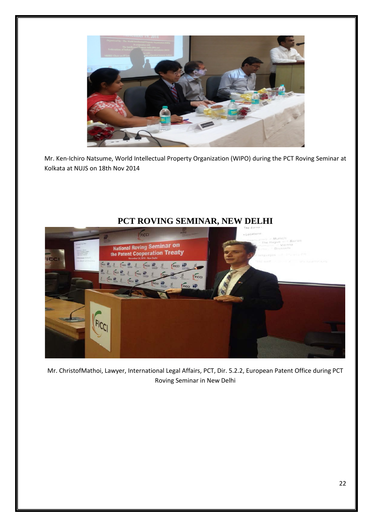

Mr. Ken-Ichiro Natsume, World Intellectual Property Organization (WIPO) during the PCT Roving Seminar at Kolkata at NUJS on 18th Nov 2014



Mr. ChristofMathoi, Lawyer, International Legal Affairs, PCT, Dir. 5.2.2, European Patent Office during PCT

Roving Seminar in New Delhi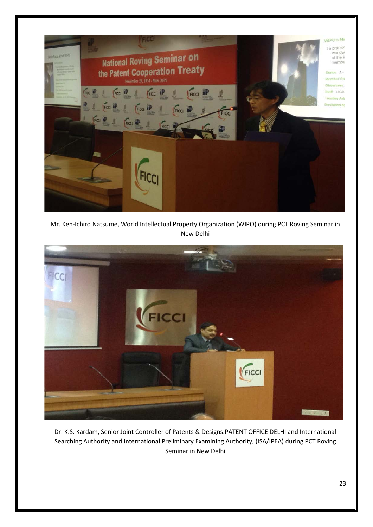

Mr. Ken-Ichiro Natsume, World Intellectual Property Organization (WIPO) during PCT Roving Seminar in New Delhi



Dr. K.S. Kardam, Senior Joint Controller of Patents & Designs.PATENT OFFICE DELHI and International Searching Authority and International Preliminary Examining Authority, (ISA/IPEA) during PCT Roving Seminar in New Delhi